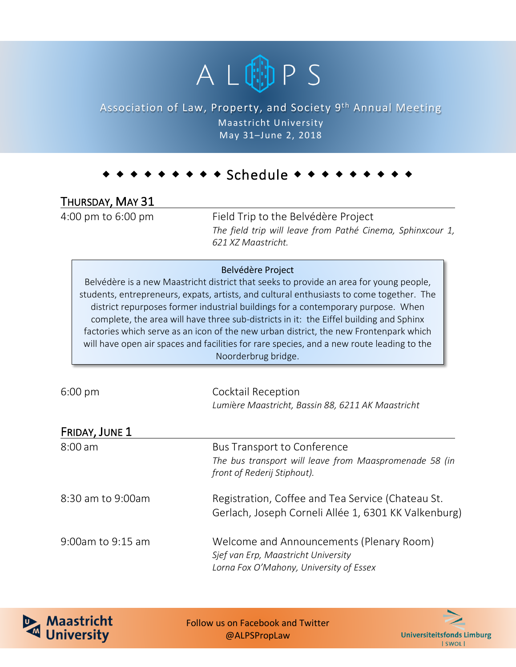

### Association of Law, Property, and Society 9<sup>th</sup> Annual Meeting Maastricht University May 31–June 2, 2018

# $\bullet$  Schedule  $\bullet$   $\bullet$

## THURSDAY, MAY 31

4:00 pm to 6:00 pm Field Trip to the Belvédère Project *The field trip will leave from Pathé Cinema, Sphinxcour 1, 621 XZ Maastricht.*

#### Belvédère Project

Belvédère is a new Maastricht district that seeks to provide an area for young people, students, entrepreneurs, expats, artists, and cultural enthusiasts to come together. The district repurposes former industrial buildings for a contemporary purpose. When complete, the area will have three sub-districts in it: the Eiffel building and Sphinx factories which serve as an icon of the new urban district, the new Frontenpark which will have open air spaces and facilities for rare species, and a new route leading to the Noorderbrug bridge.

6:00 pm Cocktail Reception *Lumi*è*re Maastricht, Bassin 88, 6211 AK Maastricht*

| FRIDAY, JUNE 1    |                                                                                                                             |
|-------------------|-----------------------------------------------------------------------------------------------------------------------------|
| $8:00$ am         | <b>Bus Transport to Conference</b><br>The bus transport will leave from Maaspromenade 58 (in<br>front of Rederij Stiphout). |
| 8:30 am to 9:00am | Registration, Coffee and Tea Service (Chateau St.<br>Gerlach, Joseph Corneli Allée 1, 6301 KK Valkenburg)                   |
| 9:00am to 9:15 am | Welcome and Announcements (Plenary Room)<br>Sjef van Erp, Maastricht University<br>Lorna Fox O'Mahony, University of Essex  |



Follow us on Facebook and Twitter @ALPSPropLaw

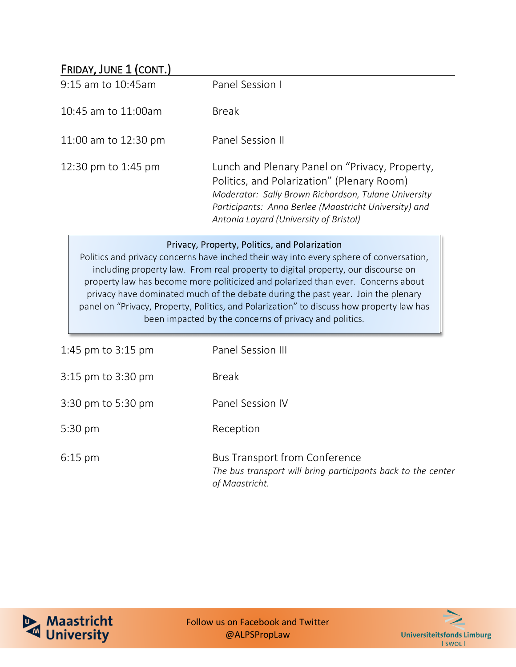### FRIDAY, JUNE 1 (CONT.)

| 9:15 am to 10:45 am  | Panel Session I                                                                                                                                                                                                                                         |
|----------------------|---------------------------------------------------------------------------------------------------------------------------------------------------------------------------------------------------------------------------------------------------------|
| 10:45 am to 11:00am  | <b>Break</b>                                                                                                                                                                                                                                            |
| 11:00 am to 12:30 pm | Panel Session II                                                                                                                                                                                                                                        |
| 12:30 pm to 1:45 pm  | Lunch and Plenary Panel on "Privacy, Property,<br>Politics, and Polarization" (Plenary Room)<br>Moderator: Sally Brown Richardson, Tulane University<br>Participants: Anna Berlee (Maastricht University) and<br>Antonia Layard (University of Bristol) |

#### Privacy, Property, Politics, and Polarization

Politics and privacy concerns have inched their way into every sphere of conversation, including property law. From real property to digital property, our discourse on property law has become more politicized and polarized than ever. Concerns about privacy have dominated much of the debate during the past year. Join the plenary panel on "Privacy, Property, Politics, and Polarization" to discuss how property law has been impacted by the concerns of privacy and politics.

| 1:45 pm to $3:15$ pm | Panel Session III                                                                                                      |
|----------------------|------------------------------------------------------------------------------------------------------------------------|
| 3:15 pm to 3:30 pm   | <b>Break</b>                                                                                                           |
| 3:30 pm to 5:30 pm   | Panel Session IV                                                                                                       |
| 5:30 pm              | Reception                                                                                                              |
| $6:15$ pm            | <b>Bus Transport from Conference</b><br>The bus transport will bring participants back to the center<br>of Maastricht. |